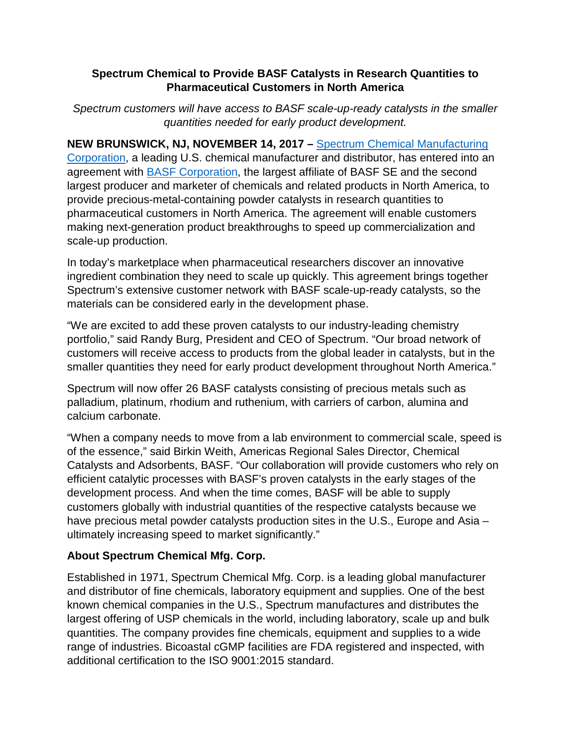## **Spectrum Chemical to Provide BASF Catalysts in Research Quantities to Pharmaceutical Customers in North America**

*Spectrum customers will have access to BASF scale-up-ready catalysts in the smaller quantities needed for early product development.*

**NEW BRUNSWICK, NJ, NOVEMBER 14, 2017 –** [Spectrum Chemical Manufacturing](https://www.spectrumchemical.com/)  [Corporation,](https://www.spectrumchemical.com/) a leading U.S. chemical manufacturer and distributor, has entered into an agreement with BASF [Corporation,](https://www.basf.com/) the largest affiliate of BASF SE and the second largest producer and marketer of chemicals and related products in North America, to provide precious-metal-containing powder catalysts in research quantities to pharmaceutical customers in North America. The agreement will enable customers making next-generation product breakthroughs to speed up commercialization and scale-up production.

In today's marketplace when pharmaceutical researchers discover an innovative ingredient combination they need to scale up quickly. This agreement brings together Spectrum's extensive customer network with BASF scale-up-ready catalysts, so the materials can be considered early in the development phase.

"We are excited to add these proven catalysts to our industry-leading chemistry portfolio," said Randy Burg, President and CEO of Spectrum. "Our broad network of customers will receive access to products from the global leader in catalysts, but in the smaller quantities they need for early product development throughout North America."

Spectrum will now offer 26 BASF catalysts consisting of precious metals such as palladium, platinum, rhodium and ruthenium, with carriers of carbon, alumina and calcium carbonate.

"When a company needs to move from a lab environment to commercial scale, speed is of the essence," said Birkin Weith, Americas Regional Sales Director, Chemical Catalysts and Adsorbents, BASF. "Our collaboration will provide customers who rely on efficient catalytic processes with BASF's proven catalysts in the early stages of the development process. And when the time comes, BASF will be able to supply customers globally with industrial quantities of the respective catalysts because we have precious metal powder catalysts production sites in the U.S., Europe and Asia – ultimately increasing speed to market significantly."

## **About Spectrum Chemical Mfg. Corp.**

Established in 1971, Spectrum Chemical Mfg. Corp. is a leading global manufacturer and distributor of fine chemicals, laboratory equipment and supplies. One of the best known chemical companies in the U.S., Spectrum manufactures and distributes the largest offering of USP chemicals in the world, including laboratory, scale up and bulk quantities. The company provides fine chemicals, equipment and supplies to a wide range of industries. Bicoastal cGMP facilities are FDA registered and inspected, with additional certification to the ISO 9001:2015 standard.